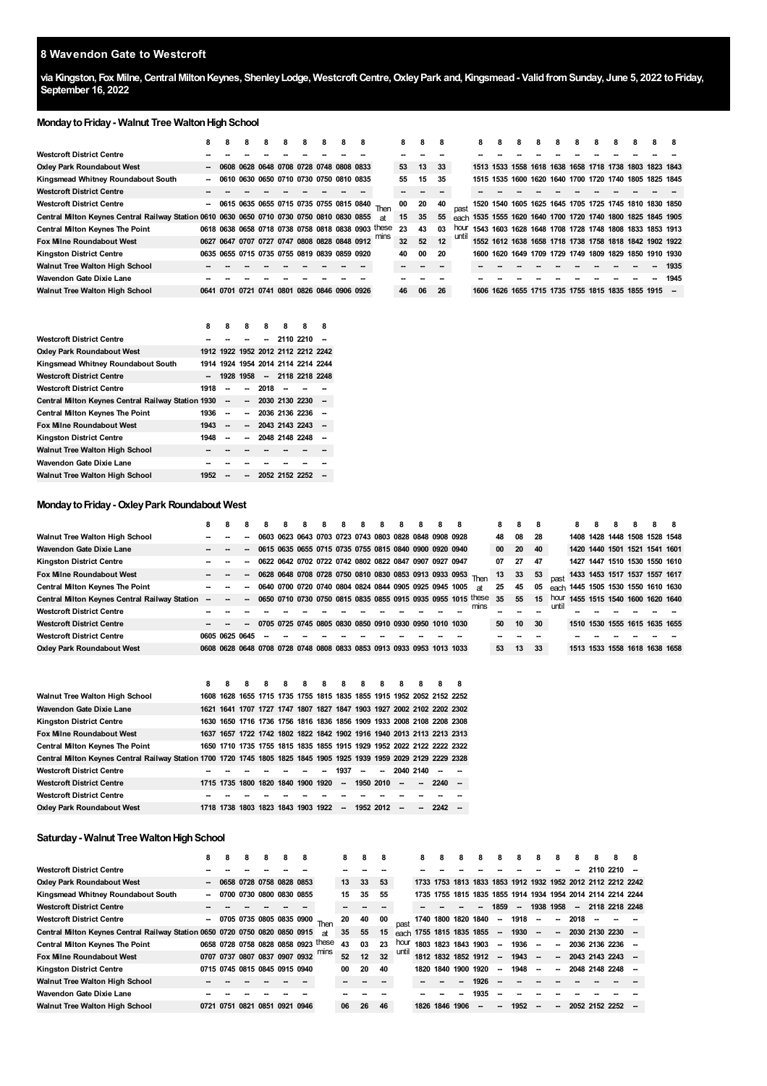#### **Wavendon Gate to Westcroft**

via Kingston, Fox Milne, Central Milton Keynes, Shenley Lodge, Westcroft Centre, Oxley Park and, Kingsmead - Valid from Sunday, June 5, 2022 to Friday, **September 16, 2022**

#### **Monday to Friday - Walnut Tree Walton High School**

|                                                                                            | 8                        | 8 | 8 | 8 | 8 | 8 | 8 | 8                                            | 8 |                                                    | 8  | 8  | 8  |       | 8                                                           | 8 | 8 | 8 | 8                                            | 8 | 8 | 8 | 8 |                                                        |      |
|--------------------------------------------------------------------------------------------|--------------------------|---|---|---|---|---|---|----------------------------------------------|---|----------------------------------------------------|----|----|----|-------|-------------------------------------------------------------|---|---|---|----------------------------------------------|---|---|---|---|--------------------------------------------------------|------|
| Westcroft District Centre                                                                  |                          |   |   |   |   |   |   |                                              |   |                                                    |    |    |    |       |                                                             |   |   |   |                                              |   |   |   |   |                                                        |      |
| <b>Oxley Park Roundabout West</b>                                                          | $\overline{\phantom{a}}$ |   |   |   |   |   |   | 0608 0628 0648 0708 0728 0748 0808 0833      |   |                                                    | 53 | 13 | 33 |       |                                                             |   |   |   |                                              |   |   |   |   | 1513 1533 1558 1618 1638 1658 1718 1738 1803 1823 1843 |      |
| Kingsmead Whitney Roundabout South                                                         | $\overline{\phantom{a}}$ |   |   |   |   |   |   | 0610 0630 0650 0710 0730 0750 0810 0835      |   |                                                    | 55 | 15 | 35 |       |                                                             |   |   |   |                                              |   |   |   |   | 1515 1535 1600 1620 1640 1700 1720 1740 1805 1825 1845 |      |
| <b>Westcroft District Centre</b>                                                           |                          |   |   |   |   |   |   |                                              |   |                                                    |    |    |    |       |                                                             |   |   |   |                                              |   |   |   |   |                                                        |      |
| <b>Westcroft District Centre</b>                                                           | $\overline{\phantom{a}}$ |   |   |   |   |   |   |                                              |   | 0615 0635 0655 0715 0735 0755 0815 0840 Then       | 00 | 20 | 40 |       |                                                             |   |   |   |                                              |   |   |   |   | 1520 1540 1605 1625 1645 1705 1725 1745 1810 1830 1850 |      |
| Central Milton Keynes Central Railway Station 0610 0630 0650 0710 0730 0750 0810 0830 0855 |                          |   |   |   |   |   |   |                                              |   | яt                                                 | 15 | 35 | 55 |       | each 1535 1555 1620 1640 1700 1720 1740 1800 1825 1845 1905 |   |   |   |                                              |   |   |   |   |                                                        |      |
| <b>Central Milton Keynes The Point</b>                                                     |                          |   |   |   |   |   |   |                                              |   | 0618 0638 0658 0718 0738 0758 0818 0838 0903 these | 23 | 43 | 03 | hour  | 1543 1603 1628 1648 1708 1728 1748 1808 1833 1853 1913      |   |   |   |                                              |   |   |   |   |                                                        |      |
| <b>Fox Milne Roundabout West</b>                                                           |                          |   |   |   |   |   |   | 0627 0647 0707 0727 0747 0808 0828 0848 0912 |   |                                                    | 32 | 52 | 12 | until | 1552 1612 1638 1658 1718 1738 1758 1818 1842 1902 1922      |   |   |   |                                              |   |   |   |   |                                                        |      |
| <b>Kingston District Centre</b>                                                            |                          |   |   |   |   |   |   | 0635 0655 0715 0735 0755 0819 0839 0859 0920 |   |                                                    | 40 | 00 | 20 |       |                                                             |   |   |   |                                              |   |   |   |   | 1600 1620 1649 1709 1729 1749 1809 1829 1850 1910 1930 |      |
| Walnut Tree Walton High School                                                             |                          |   |   |   |   |   |   |                                              |   |                                                    |    |    |    |       |                                                             |   |   |   |                                              |   |   |   |   |                                                        | 1935 |
| Wavendon Gate Dixie Lane                                                                   |                          |   |   |   |   |   |   |                                              |   |                                                    |    |    |    |       |                                                             |   |   |   |                                              |   |   |   |   |                                                        | 1945 |
| Walnut Tree Walton High School                                                             |                          |   |   |   |   |   |   | 0641 0701 0721 0741 0801 0826 0846 0906 0926 |   |                                                    | 46 | 06 | 26 |       | 1606                                                        |   |   |   | 1626 1655 1715 1735 1755 1815 1835 1855 1915 |   |   |   |   |                                                        |      |

|                                                    | 8    | 8                        | 8      | 8    | 8                                  | 8 | 8      |
|----------------------------------------------------|------|--------------------------|--------|------|------------------------------------|---|--------|
| <b>Westcroft District Centre</b>                   |      |                          |        |      | 2110 2210                          |   |        |
| <b>Oxley Park Roundabout West</b>                  |      |                          |        |      | 1912 1922 1952 2012 2112 2212 2242 |   |        |
| Kingsmead Whitney Roundabout South                 |      |                          |        |      | 1914 1924 1954 2014 2114 2214 2244 |   |        |
| <b>Westcroft District Centre</b>                   |      |                          |        |      | 1928 1958 - 2118 2218 2248         |   |        |
| <b>Westcroft District Centre</b>                   | 1918 | -                        | - 1    | 2018 |                                    |   |        |
| Central Milton Keynes Central Railway Station 1930 |      | $\overline{\phantom{a}}$ |        |      | $-203021302230$                    |   |        |
| <b>Central Milton Keynes The Point</b>             | 1936 | $\overline{\phantom{a}}$ | $\sim$ |      | 2036 2136 2236                     |   |        |
| <b>Fox Milne Roundabout West</b>                   | 1943 | $\overline{\phantom{a}}$ |        |      | $-204321432243$                    |   | $\sim$ |
| <b>Kingston District Centre</b>                    | 1948 |                          | $\sim$ |      | 2048 2148 2248                     |   |        |
| Walnut Tree Walton High School                     |      |                          |        |      |                                    |   |        |
| Wavendon Gate Dixie Lane                           |      |                          |        |      |                                    |   |        |
| <b>Walnut Tree Walton High School</b>              | 1952 |                          |        |      | 2052 2152 2252                     |   |        |

## **MondaytoFriday-OxleyPark Roundabout West**

|                                                 | 8              | 8.                       | 8 | 8 | 8 | 8 | 8 | 8 | -8 | 8 | -8 | 8                                                                     | -8 |                                                              | 8  | 8     | 8   |      | 8 | 8 | 8 | 8 |                                    | -8 |
|-------------------------------------------------|----------------|--------------------------|---|---|---|---|---|---|----|---|----|-----------------------------------------------------------------------|----|--------------------------------------------------------------|----|-------|-----|------|---|---|---|---|------------------------------------|----|
| Walnut Tree Walton High School                  |                |                          |   |   |   |   |   |   |    |   |    | 0603 0623 0643 0703 0723 0743 0803 0828 0848 0908 0928                |    |                                                              | 48 | 08    | -28 |      |   |   |   |   | 1408 1428 1448 1508 1528 1548      |    |
| Wavendon Gate Dixie Lane                        |                |                          |   |   |   |   |   |   |    |   |    | 0615 0635 0655 0715 0735 0755 0815 0840 0900 0920 0940                |    |                                                              | 00 | 20    | -40 |      |   |   |   |   | 1420 1440 1501 1521 1541 1601      |    |
| <b>Kingston District Centre</b>                 |                |                          |   |   |   |   |   |   |    |   |    | 0622 0642 0702 0722 0742 0802 0822 0847 0907 0927 0947                |    |                                                              | 07 | 27    | 47  |      |   |   |   |   | 1427 1447 1510 1530 1550 1610      |    |
| <b>Fox Milne Roundabout West</b>                |                | $\overline{\phantom{a}}$ |   |   |   |   |   |   |    |   |    |                                                                       |    | 0628 0648 0708 0728 0750 0810 0830 0853 0913 0933 0953 Then  | 13 | 33 53 |     |      |   |   |   |   | 1433 1453 1517 1537 1557 1617      |    |
| <b>Central Milton Keynes The Point</b>          |                | $\overline{\phantom{a}}$ |   |   |   |   |   |   |    |   |    | 0640 0700 0720 0740 0804 0824 0844 0905 0925 0945 1005                |    | at                                                           | 25 | 45    | 05  |      |   |   |   |   | each 1445 1505 1530 1550 1610 1630 |    |
| Central Milton Keynes Central Railway Station - | $\sim$         |                          |   |   |   |   |   |   |    |   |    |                                                                       |    | 0650 0710 0730 0750 0815 0835 0855 0915 0935 0955 1015 these | 35 | 55    | 15  | hour |   |   |   |   | 1455 1515 1540 1600 1620 1640      |    |
| <b>Westcroft District Centre</b>                |                |                          |   |   |   |   |   |   |    |   |    |                                                                       |    | mins                                                         |    |       |     | unti |   |   |   |   |                                    |    |
| <b>Westcroft District Centre</b>                |                |                          |   |   |   |   |   |   |    |   |    | 0705 0725 0745 0805 0830 0850 0910 0930 0950 1010 1030                |    |                                                              | 50 | 10    | 30  |      |   |   |   |   | 1510 1530 1555 1615 1635 1655      |    |
| <b>Westcroft District Centre</b>                | 0605 0625 0645 |                          |   |   |   |   |   |   |    |   |    |                                                                       |    |                                                              |    |       |     |      |   |   |   |   |                                    |    |
| <b>Oxley Park Roundabout West</b>               |                |                          |   |   |   |   |   |   |    |   |    | 0608 0628 0648 0708 0728 0748 0808 0833 0853 0913 0933 0953 1013 1033 |    |                                                              | 53 | 13    | 33  |      |   |   |   |   | 1513 1533 1558 1618 1638 1658      |    |

|                                                                                                                     | 8 | 8 | 8 | 8 | 8 | 8 | 8                                                | $\overline{\mathbf{8}}$ | 8                        | 8 | -8            | 8      |                                                                       | - 8 |
|---------------------------------------------------------------------------------------------------------------------|---|---|---|---|---|---|--------------------------------------------------|-------------------------|--------------------------|---|---------------|--------|-----------------------------------------------------------------------|-----|
| <b>Walnut Tree Walton High School</b>                                                                               |   |   |   |   |   |   |                                                  |                         |                          |   |               |        | 1608 1628 1655 1715 1735 1755 1815 1835 1855 1915 1952 2052 2152 2252 |     |
| Wavendon Gate Dixie Lane                                                                                            |   |   |   |   |   |   |                                                  |                         |                          |   |               |        | 1621 1641 1707 1727 1747 1807 1827 1847 1903 1927 2002 2102 2202 2302 |     |
| <b>Kingston District Centre</b>                                                                                     |   |   |   |   |   |   |                                                  |                         |                          |   |               |        | 1630 1650 1716 1736 1756 1816 1836 1856 1909 1933 2008 2108 2208 2308 |     |
| <b>Fox Milne Roundabout West</b>                                                                                    |   |   |   |   |   |   |                                                  |                         |                          |   |               |        | 1637 1657 1722 1742 1802 1822 1842 1902 1916 1940 2013 2113 2213 2313 |     |
| <b>Central Milton Keynes The Point</b>                                                                              |   |   |   |   |   |   |                                                  |                         |                          |   |               |        | 1650 1710 1735 1755 1815 1835 1855 1915 1929 1952 2022 2122 2222 2322 |     |
| Central Milton Keynes Central Railway Station 1700 1720 1745 1805 1825 1845 1905 1925 1939 1959 2029 2129 2229 2328 |   |   |   |   |   |   |                                                  |                         |                          |   |               |        |                                                                       |     |
| <b>Westcroft District Centre</b>                                                                                    |   |   |   |   |   |   |                                                  | 1937                    | $\overline{\phantom{a}}$ |   | $-20402140 -$ |        |                                                                       |     |
| <b>Westcroft District Centre</b>                                                                                    |   |   |   |   |   |   | 1715 1735 1800 1820 1840 1900 1920 - 1950 2010 - |                         |                          |   |               | $\sim$ | $2240 -$                                                              |     |
| <b>Westcroft District Centre</b>                                                                                    |   |   |   |   |   |   |                                                  |                         |                          |   |               |        |                                                                       |     |
| <b>Oxley Park Roundabout West</b>                                                                                   |   |   |   |   |   |   | 1718 1738 1803 1823 1843 1903 1922               |                         | $-19522012$              |   | $\sim$        | $\sim$ | 2242                                                                  |     |

## **Saturday - Walnut Tree Walton High School**

|                                                                             | 8 | 8    |      | 8    | 8                             | 8 |                                     | 8  | 8  | 8  |       | 8    |                          | 8 | 8    |                          | 8        | 8                        | 8      | 8      | 8 | 8                                                           | 8 |
|-----------------------------------------------------------------------------|---|------|------|------|-------------------------------|---|-------------------------------------|----|----|----|-------|------|--------------------------|---|------|--------------------------|----------|--------------------------|--------|--------|---|-------------------------------------------------------------|---|
| <b>Westcroft District Centre</b>                                            |   |      |      |      |                               |   |                                     |    |    |    |       |      |                          |   |      |                          |          |                          |        |        |   | 2110 2210                                                   |   |
| <b>Oxley Park Roundabout West</b>                                           |   |      |      |      | 0658 0728 0758 0828 0853      |   |                                     | 13 | 33 | 53 |       |      |                          |   |      |                          |          |                          |        |        |   | 1733 1753 1813 1833 1853 1912 1932 1952 2012 2112 2212 2242 |   |
| Kingsmead Whitney Roundabout South                                          |   |      |      |      | 0700 0730 0800 0830 0855      |   |                                     | 15 | 35 | 55 |       |      |                          |   |      |                          |          |                          |        |        |   | 1735 1755 1815 1835 1855 1914 1934 1954 2014 2114 2214 2244 |   |
| <b>Westcroft District Centre</b>                                            |   |      |      |      |                               |   |                                     |    |    |    |       |      |                          |   | --   | 1859                     | $\sim$   | 1938 1958                |        | $\sim$ |   | 2118 2218 2248                                              |   |
| <b>Westcroft District Centre</b>                                            | - |      |      |      |                               |   | 0705 0735 0805 0835 0900 Then       | 20 | 40 | 00 |       | 1740 | 1800 1820 1840           |   |      | $\sim$                   | 1918     | $\overline{\phantom{a}}$ | $\sim$ | 2018   |   |                                                             |   |
| Central Milton Keynes Central Railway Station 0650 0720 0750 0820 0850 0915 |   |      |      |      |                               |   | <b>at</b>                           | 35 | 55 | 15 |       |      | each 1755 1815 1835 1855 |   |      | $\sim$                   | 1930 -   |                          | $\sim$ |        |   | 2030 2130 2230 -                                            |   |
| <b>Central Milton Keynes The Point</b>                                      |   |      |      |      |                               |   | 0658 0728 0758 0828 0858 0923 these | 43 | 03 | 23 | hour  |      | 1803 1823 1843 1903      |   |      | $\sim$                   | $1936 -$ |                          | $\sim$ |        |   | 2036 2136 2236                                              |   |
| <b>Fox Milne Roundabout West</b>                                            |   |      |      |      | 0707 0737 0807 0837 0907 0932 |   |                                     | 52 | 12 | 32 | until |      | 1812 1832 1852 1912      |   |      | $\overline{\phantom{a}}$ | 1943     | $\overline{\phantom{a}}$ | $\sim$ |        |   | 2043 2143 2243                                              |   |
| <b>Kingston District Centre</b>                                             |   |      |      |      | 0715 0745 0815 0845 0915 0940 |   |                                     | 00 | 20 | 40 |       | 1820 | 1840 1900 1920           |   |      | $\sim$                   | 1948     |                          | -−     |        |   | 2048 2148 2248                                              |   |
| Walnut Tree Walton High School                                              |   |      |      |      |                               |   |                                     |    |    |    |       |      |                          |   | 1926 |                          |          |                          |        |        |   |                                                             |   |
| <b>Wavendon Gate Dixie Lane</b>                                             |   |      |      |      |                               |   |                                     |    |    |    |       |      |                          |   | 1935 |                          |          |                          |        |        |   |                                                             |   |
| <b>Walnut Tree Walton High School</b>                                       |   | 0751 | 0821 | 0851 | 0921 0946                     |   |                                     | 06 | 26 | 46 |       | 1826 | 1846 1906                |   | --   |                          | 1952     | --                       |        |        |   | 2052 2152 2252                                              |   |